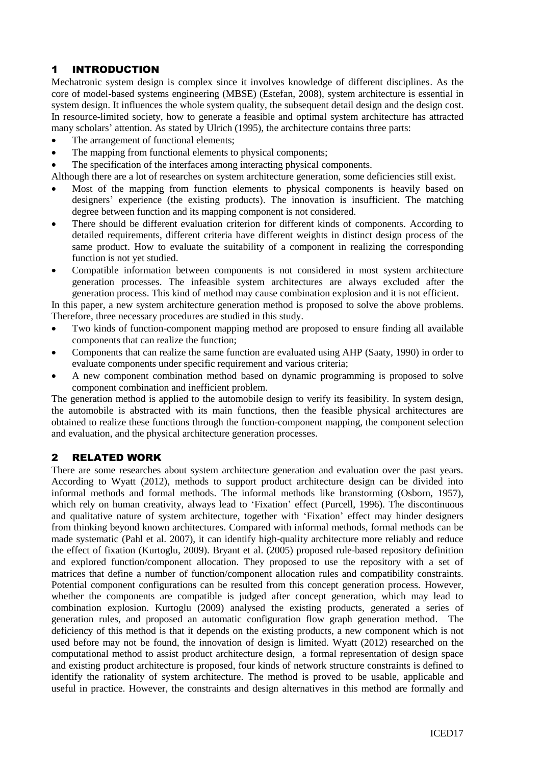## 1 INTRODUCTION

Mechatronic system design is complex since it involves knowledge of different disciplines. As the core of model-based systems engineering (MBSE) (Estefan, 2008), system architecture is essential in system design. It influences the whole system quality, the subsequent detail design and the design cost. In resource-limited society, how to generate a feasible and optimal system architecture has attracted many scholars' attention. As stated by Ulrich (1995), the architecture contains three parts:

- The arrangement of functional elements;
- The mapping from functional elements to physical components;
- The specification of the interfaces among interacting physical components.

Although there are a lot of researches on system architecture generation, some deficiencies still exist.

- Most of the mapping from function elements to physical components is heavily based on designers' experience (the existing products). The innovation is insufficient. The matching degree between function and its mapping component is not considered.
- There should be different evaluation criterion for different kinds of components. According to detailed requirements, different criteria have different weights in distinct design process of the same product. How to evaluate the suitability of a component in realizing the corresponding function is not yet studied.
- Compatible information between components is not considered in most system architecture generation processes. The infeasible system architectures are always excluded after the generation process. This kind of method may cause combination explosion and it is not efficient.

In this paper, a new system architecture generation method is proposed to solve the above problems. Therefore, three necessary procedures are studied in this study.

- Two kinds of function-component mapping method are proposed to ensure finding all available components that can realize the function;
- Components that can realize the same function are evaluated using AHP (Saaty, 1990) in order to evaluate components under specific requirement and various criteria;
- A new component combination method based on dynamic programming is proposed to solve component combination and inefficient problem.

The generation method is applied to the automobile design to verify its feasibility. In system design, the automobile is abstracted with its main functions, then the feasible physical architectures are obtained to realize these functions through the function-component mapping, the component selection and evaluation, and the physical architecture generation processes.

## 2 RELATED WORK

There are some researches about system architecture generation and evaluation over the past years. According to Wyatt (2012), methods to support product architecture design can be divided into informal methods and formal methods. The informal methods like branstorming (Osborn, 1957), which rely on human creativity, always lead to 'Fixation' effect (Purcell, 1996). The discontinuous and qualitative nature of system architecture, together with 'Fixation' effect may hinder designers from thinking beyond known architectures. Compared with informal methods, formal methods can be made systematic (Pahl et al. 2007), it can identify high-quality architecture more reliably and reduce the effect of fixation (Kurtoglu, 2009). Bryant et al. (2005) proposed rule-based repository definition and explored function/component allocation. They proposed to use the repository with a set of matrices that define a number of function/component allocation rules and compatibility constraints. Potential component configurations can be resulted from this concept generation process. However, whether the components are compatible is judged after concept generation, which may lead to combination explosion. Kurtoglu (2009) analysed the existing products, generated a series of generation rules, and proposed an automatic configuration flow graph generation method. The deficiency of this method is that it depends on the existing products, a new component which is not used before may not be found, the innovation of design is limited. Wyatt (2012) researched on the computational method to assist product architecture design, a formal representation of design space and existing product architecture is proposed, four kinds of network structure constraints is defined to identify the rationality of system architecture. The method is proved to be usable, applicable and useful in practice. However, the constraints and design alternatives in this method are formally and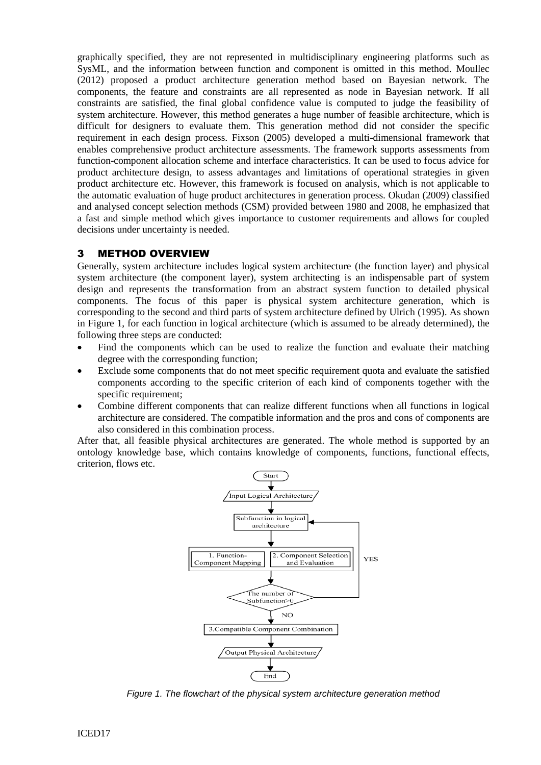graphically specified, they are not represented in multidisciplinary engineering platforms such as SysML, and the information between function and component is omitted in this method. Moullec (2012) proposed a product architecture generation method based on Bayesian network. The components, the feature and constraints are all represented as node in Bayesian network. If all constraints are satisfied, the final global confidence value is computed to judge the feasibility of system architecture. However, this method generates a huge number of feasible architecture, which is difficult for designers to evaluate them. This generation method did not consider the specific requirement in each design process. Fixson (2005) developed a multi-dimensional framework that enables comprehensive product architecture assessments. The framework supports assessments from function-component allocation scheme and interface characteristics. It can be used to focus advice for product architecture design, to assess advantages and limitations of operational strategies in given product architecture etc. However, this framework is focused on analysis, which is not applicable to the automatic evaluation of huge product architectures in generation process. Okudan (2009) classified and analysed concept selection methods (CSM) provided between 1980 and 2008, he emphasized that a fast and simple method which gives importance to customer requirements and allows for coupled decisions under uncertainty is needed.

### 3 METHOD OVERVIEW

Generally, system architecture includes logical system architecture (the function layer) and physical system architecture (the component layer), system architecting is an indispensable part of system design and represents the transformation from an abstract system function to detailed physical components. The focus of this paper is physical system architecture generation, which is corresponding to the second and third parts of system architecture defined by Ulrich (1995). As shown in Figure 1, for each function in logical architecture (which is assumed to be already determined), the following three steps are conducted:

- Find the components which can be used to realize the function and evaluate their matching degree with the corresponding function;
- Exclude some components that do not meet specific requirement quota and evaluate the satisfied components according to the specific criterion of each kind of components together with the specific requirement;
- Combine different components that can realize different functions when all functions in logical architecture are considered. The compatible information and the pros and cons of components are also considered in this combination process.

After that, all feasible physical architectures are generated. The whole method is supported by an ontology knowledge base, which contains knowledge of components, functions, functional effects, criterion, flows etc.



*Figure 1. The flowchart of the physical system architecture generation method*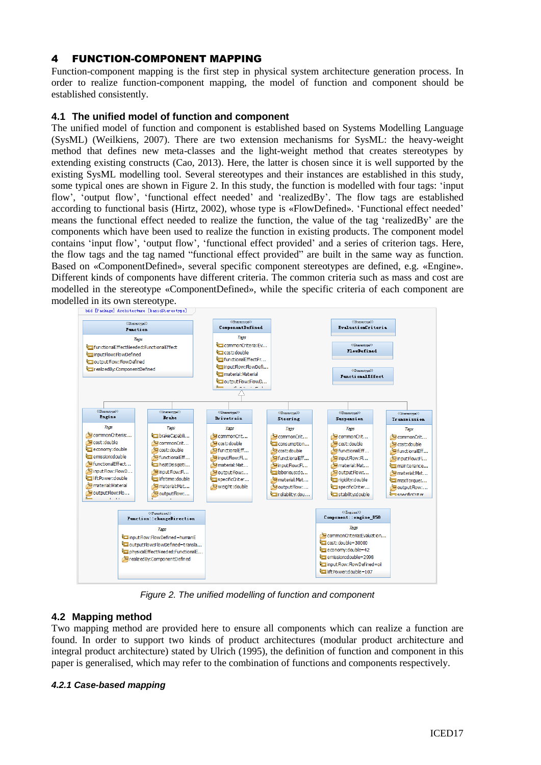## 4 FUNCTION-COMPONENT MAPPING

Function-component mapping is the first step in physical system architecture generation process. In order to realize function-component mapping, the model of function and component should be established consistently.

#### **4.1 The unified model of function and component**

The unified model of function and component is established based on Systems Modelling Language (SysML) (Weilkiens, 2007). There are two extension mechanisms for SysML: the heavy-weight method that defines new meta-classes and the light-weight method that creates stereotypes by extending existing constructs (Cao, 2013). Here, the latter is chosen since it is well supported by the existing SysML modelling tool. Several stereotypes and their instances are established in this study, some typical ones are shown in Figure 2. In this study, the function is modelled with four tags: 'input flow', 'output flow', 'functional effect needed' and 'realizedBy'. The flow tags are established according to functional basis (Hirtz, 2002), whose type is «FlowDefined». 'Functional effect needed' means the functional effect needed to realize the function, the value of the tag 'realizedBy' are the components which have been used to realize the function in existing products. The component model contains 'input flow', 'output flow', 'functional effect provided' and a series of criterion tags. Here, the flow tags and the tag named "functional effect provided" are built in the same way as function. Based on «ComponentDefined», several specific component stereotypes are defined, e.g. «Engine». Different kinds of components have different criteria. The common criteria such as mass and cost are modelled in the stereotype «ComponentDefined», while the specific criteria of each component are modelled in its own stereotype.



*Figure 2. The unified modelling of function and component*

### **4.2 Mapping method**

Two mapping method are provided here to ensure all components which can realize a function are found. In order to support two kinds of product architectures (modular product architecture and integral product architecture) stated by Ulrich (1995), the definition of function and component in this paper is generalised, which may refer to the combination of functions and components respectively.

#### *4.2.1 Case-based mapping*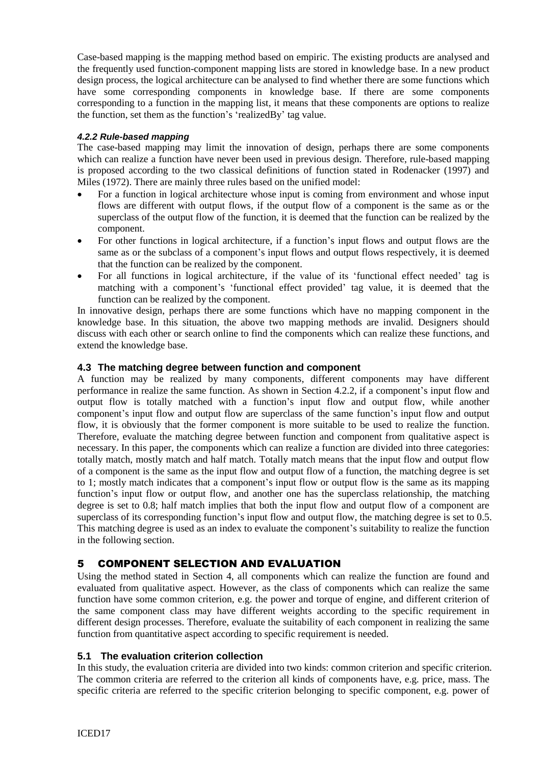Case-based mapping is the mapping method based on empiric. The existing products are analysed and the frequently used function-component mapping lists are stored in knowledge base. In a new product design process, the logical architecture can be analysed to find whether there are some functions which have some corresponding components in knowledge base. If there are some components corresponding to a function in the mapping list, it means that these components are options to realize the function, set them as the function's 'realizedBy' tag value.

### *4.2.2 Rule-based mapping*

The case-based mapping may limit the innovation of design, perhaps there are some components which can realize a function have never been used in previous design. Therefore, rule-based mapping is proposed according to the two classical definitions of function stated in Rodenacker (1997) and Miles (1972). There are mainly three rules based on the unified model:

- For a function in logical architecture whose input is coming from environment and whose input flows are different with output flows, if the output flow of a component is the same as or the superclass of the output flow of the function, it is deemed that the function can be realized by the component.
- For other functions in logical architecture, if a function's input flows and output flows are the same as or the subclass of a component's input flows and output flows respectively, it is deemed that the function can be realized by the component.
- For all functions in logical architecture, if the value of its 'functional effect needed' tag is matching with a component's 'functional effect provided' tag value, it is deemed that the function can be realized by the component.

In innovative design, perhaps there are some functions which have no mapping component in the knowledge base. In this situation, the above two mapping methods are invalid. Designers should discuss with each other or search online to find the components which can realize these functions, and extend the knowledge base.

### **4.3 The matching degree between function and component**

A function may be realized by many components, different components may have different performance in realize the same function. As shown in Section 4.2.2, if a component's input flow and output flow is totally matched with a function's input flow and output flow, while another component's input flow and output flow are superclass of the same function's input flow and output flow, it is obviously that the former component is more suitable to be used to realize the function. Therefore, evaluate the matching degree between function and component from qualitative aspect is necessary. In this paper, the components which can realize a function are divided into three categories: totally match, mostly match and half match. Totally match means that the input flow and output flow of a component is the same as the input flow and output flow of a function, the matching degree is set to 1; mostly match indicates that a component's input flow or output flow is the same as its mapping function's input flow or output flow, and another one has the superclass relationship, the matching degree is set to 0.8; half match implies that both the input flow and output flow of a component are superclass of its corresponding function's input flow and output flow, the matching degree is set to 0.5. This matching degree is used as an index to evaluate the component's suitability to realize the function in the following section.

# 5 COMPONENT SELECTION AND EVALUATION

Using the method stated in Section 4, all components which can realize the function are found and evaluated from qualitative aspect. However, as the class of components which can realize the same function have some common criterion, e.g. the power and torque of engine, and different criterion of the same component class may have different weights according to the specific requirement in different design processes. Therefore, evaluate the suitability of each component in realizing the same function from quantitative aspect according to specific requirement is needed.

### **5.1 The evaluation criterion collection**

In this study, the evaluation criteria are divided into two kinds: common criterion and specific criterion. The common criteria are referred to the criterion all kinds of components have, e.g. price, mass. The specific criteria are referred to the specific criterion belonging to specific component, e.g. power of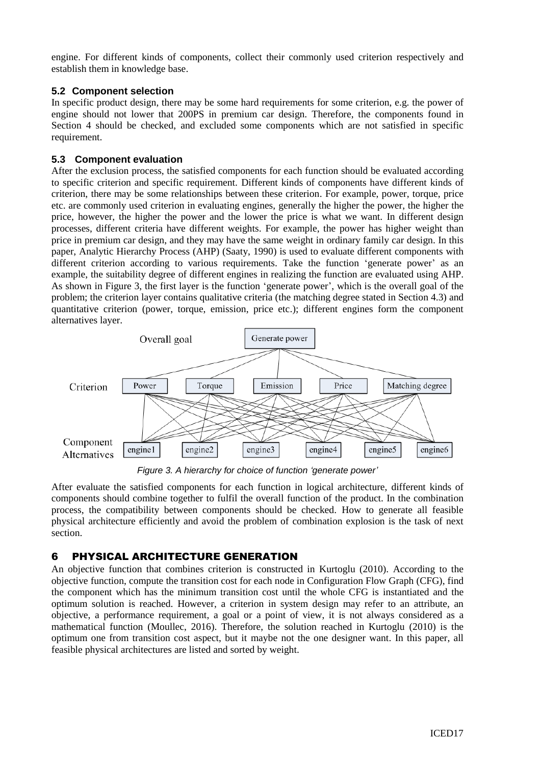engine. For different kinds of components, collect their commonly used criterion respectively and establish them in knowledge base.

#### **5.2 Component selection**

In specific product design, there may be some hard requirements for some criterion, e.g. the power of engine should not lower that 200PS in premium car design. Therefore, the components found in Section 4 should be checked, and excluded some components which are not satisfied in specific requirement.

### **5.3 Component evaluation**

After the exclusion process, the satisfied components for each function should be evaluated according to specific criterion and specific requirement. Different kinds of components have different kinds of criterion, there may be some relationships between these criterion. For example, power, torque, price etc. are commonly used criterion in evaluating engines, generally the higher the power, the higher the price, however, the higher the power and the lower the price is what we want. In different design processes, different criteria have different weights. For example, the power has higher weight than price in premium car design, and they may have the same weight in ordinary family car design. In this paper, Analytic Hierarchy Process (AHP) (Saaty, 1990) is used to evaluate different components with different criterion according to various requirements. Take the function 'generate power' as an example, the suitability degree of different engines in realizing the function are evaluated using AHP. As shown in Figure 3, the first layer is the function 'generate power', which is the overall goal of the problem; the criterion layer contains qualitative criteria (the matching degree stated in Section 4.3) and quantitative criterion (power, torque, emission, price etc.); different engines form the component alternatives layer.



*Figure 3. A hierarchy for choice of function 'generate power'*

After evaluate the satisfied components for each function in logical architecture, different kinds of components should combine together to fulfil the overall function of the product. In the combination process, the compatibility between components should be checked. How to generate all feasible physical architecture efficiently and avoid the problem of combination explosion is the task of next section.

## 6 PHYSICAL ARCHITECTURE GENERATION

An objective function that combines criterion is constructed in Kurtoglu (2010). According to the objective function, compute the transition cost for each node in Configuration Flow Graph (CFG), find the component which has the minimum transition cost until the whole CFG is instantiated and the optimum solution is reached. However, a criterion in system design may refer to an attribute, an objective, a performance requirement, a goal or a point of view, it is not always considered as a mathematical function (Moullec, 2016). Therefore, the solution reached in Kurtoglu (2010) is the optimum one from transition cost aspect, but it maybe not the one designer want. In this paper, all feasible physical architectures are listed and sorted by weight.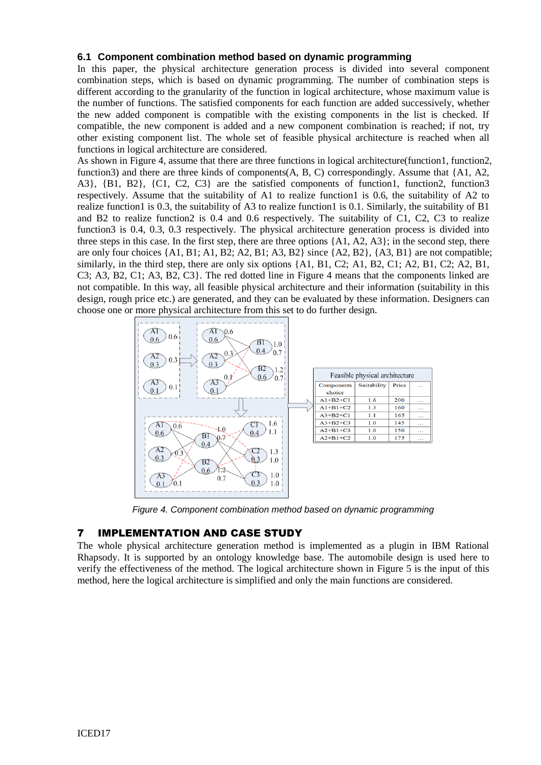#### **6.1 Component combination method based on dynamic programming**

In this paper, the physical architecture generation process is divided into several component combination steps, which is based on dynamic programming. The number of combination steps is different according to the granularity of the function in logical architecture, whose maximum value is the number of functions. The satisfied components for each function are added successively, whether the new added component is compatible with the existing components in the list is checked. If compatible, the new component is added and a new component combination is reached; if not, try other existing component list. The whole set of feasible physical architecture is reached when all functions in logical architecture are considered.

As shown in Figure 4, assume that there are three functions in logical architecture(function1, function2, function3) and there are three kinds of components( $A, B, C$ ) correspondingly. Assume that  $\{A1, A2,$ A3}, {B1, B2}, {C1, C2, C3} are the satisfied components of function1, function2, function3 respectively. Assume that the suitability of A1 to realize function1 is 0.6, the suitability of A2 to realize function1 is 0.3, the suitability of A3 to realize function1 is 0.1. Similarly, the suitability of B1 and B2 to realize function2 is 0.4 and 0.6 respectively. The suitability of C1, C2, C3 to realize function3 is 0.4, 0.3, 0.3 respectively. The physical architecture generation process is divided into three steps in this case. In the first step, there are three options {A1, A2, A3}; in the second step, there are only four choices  $\{A1, B1, A1, B2, A2, B1, A3, B2\}$  since  $\{A2, B2\}$ ,  $\{A3, B1\}$  are not compatible; similarly, in the third step, there are only six options {A1, B1, C2; A1, B2, C1; A2, B1, C2; A2, B1, C3; A3, B2, C1; A3, B2, C3}. The red dotted line in Figure 4 means that the components linked are not compatible. In this way, all feasible physical architecture and their information (suitability in this design, rough price etc.) are generated, and they can be evaluated by these information. Designers can choose one or more physical architecture from this set to do further design.



*Figure 4. Component combination method based on dynamic programming*

### 7 IMPLEMENTATION AND CASE STUDY

The whole physical architecture generation method is implemented as a plugin in IBM Rational Rhapsody. It is supported by an ontology knowledge base. The automobile design is used here to verify the effectiveness of the method. The logical architecture shown in Figure 5 is the input of this method, here the logical architecture is simplified and only the main functions are considered.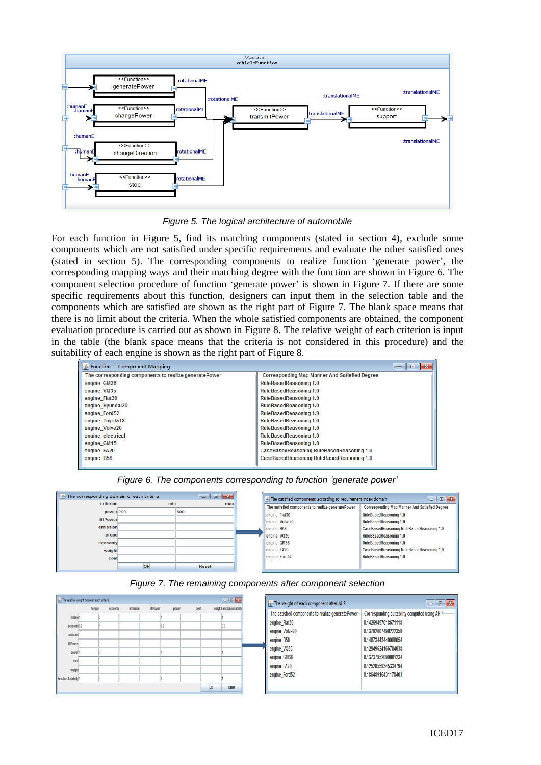

*Figure 5. The logical architecture of automobile*

For each function in Figure 5, find its matching components (stated in section 4), exclude some components which are not satisfied under specific requirements and evaluate the other satisfied ones (stated in section 5). The corresponding components to realize function 'generate power', the corresponding mapping ways and their matching degree with the function are shown in Figure 6. The component selection procedure of function 'generate power' is shown in Figure 7. If there are some specific requirements about this function, designers can input them in the selection table and the components which are satisfied are shown as the right part of Figure 7. The blank space means that there is no limit about the criteria. When the whole satisfied components are obtained, the component evaluation procedure is carried out as shown in Figure 8. The relative weight of each criterion is input in the table (the blank space means that the criteria is not considered in this procedure) and the suitability of each engine is shown as the right part of Figure 8.

| $\frac{d}{dx}$ Function -- Component Mapping          | $-2$<br>$\Box$                                       |
|-------------------------------------------------------|------------------------------------------------------|
| The corresponding components to realize generatePower | <b>Corresponding Map Manner And Satisfied Degree</b> |
| engine GM36                                           | <b>RuleBasedReasoning 1.0</b>                        |
| engine VQ35                                           | <b>RuleBasedReasoning 1.0</b>                        |
| engine Fiat30                                         | <b>RuleBasedReasoning 1.0</b>                        |
| engine Hyundai20                                      | <b>RuleBasedReasoning 1.0</b>                        |
| engine Ford52                                         | <b>RuleBasedReasoning 1.0</b>                        |
| engine Toyota18                                       | <b>RuleBasedReasoning 1.0</b>                        |
| engine Volve20                                        | <b>RuleBasedReasoning 1.0</b>                        |
| engine electrical                                     | <b>RuleBasedReasoning 1.0</b>                        |
| engine GM15                                           | <b>RuleBasedReasoning 1.0</b>                        |
| engine FA20                                           | CaseBasedReasoning RuleBasedReasoning 1.0            |
| engine B58                                            | CaseBasedReasoning RuleBasedReasoning 1.0            |

The corresponding domain of each criteria **Contractor**  $\begin{array}{|c|c|c|}\hline \multicolumn{1}{|c|}{\textbf{0}} & \multicolumn{1}{|c|}{\textbf{X}}\\ \hline \end{array}$ The satisfied components according to requirement index domain criterio min The satisfied components to realize generatePower Corresponding Map Manner And Satisfied Degree power<sub>200</sub> 600 RuleBasedReasoning 1.0 engine Fiat30 **liftDown** engine\_Volve20 RuleBasedReasoning 1.0 emissio CaseBasedReasoning RuleBasedReasoning 1.0 engine B58 toral engine\_VQ35 RuleBasedReasoning 1.0 engine\_GM36 RuleBasedReasoning 1.0 econom engine FA20 CaseBasedReasoning RuleBasedReasoning 1.0 engine Ford52 RuleBasedReasoning 1.0 cos Ok Reset  $\mathbf{I}$ 

*Figure 6. The components corresponding to function 'generate power'*



| $\blacksquare$<br>The relative weight between each criteria |        |         |          |                 |       |      |      |                            |  | $\mathbf{E}$<br>The weight of each component after AHP<br>$\blacksquare$ |                                                      |  |
|-------------------------------------------------------------|--------|---------|----------|-----------------|-------|------|------|----------------------------|--|--------------------------------------------------------------------------|------------------------------------------------------|--|
|                                                             | torque | economy | emission | <b>IftPower</b> | power | cost |      | weightFunction Suitability |  |                                                                          |                                                      |  |
| torque <sup>-</sup>                                         |        |         |          |                 |       |      |      |                            |  | The satisfied components to realize generatePower                        | <b>Corresponding suitability computed using AHP-</b> |  |
| economy0.2                                                  |        |         |          |                 |       |      |      | 82                         |  | engine Fiat30                                                            | 0.14269497018671118                                  |  |
| emission                                                    |        |         |          |                 |       |      |      |                            |  | engine_Volve20                                                           | 0.13792007498222358                                  |  |
| <b>ImPower</b>                                              |        |         |          |                 |       |      |      |                            |  | engine B58                                                               | 0.14073443440008054                                  |  |
|                                                             |        |         |          |                 |       |      |      |                            |  | engine_VQ35                                                              | 0.12949624166704038                                  |  |
| power                                                       |        |         |          |                 |       |      |      |                            |  | engine_GM36                                                              | 0.13737952099881234                                  |  |
| cost                                                        |        |         |          |                 |       |      |      |                            |  | engine FA20                                                              | 0.12528559345334794                                  |  |
| weigh                                                       |        |         |          |                 |       |      |      |                            |  |                                                                          | 0.18648916431178403                                  |  |
| <b>Function Suitability 1</b>                               |        |         |          |                 |       |      |      |                            |  | engine Ford52                                                            |                                                      |  |
|                                                             |        |         |          |                 |       |      | $0k$ | Reset                      |  |                                                                          |                                                      |  |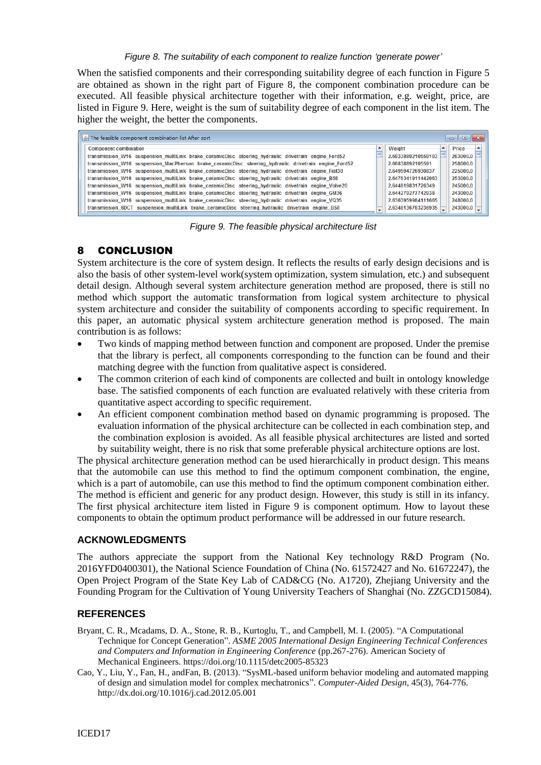#### *Figure 8. The suitability of each component to realize function 'generate power'*

When the satisfied components and their corresponding suitability degree of each function in Figure 5 are obtained as shown in the right part of Figure 8, the component combination procedure can be executed. All feasible physical architecture together with their information, e.g. weight, price, are listed in Figure 9. Here, weight is the sum of suitability degree of each component in the list item. The higher the weight, the better the components.

| $\left \frac{\mu}{\pm}\right $ The feasible component combination list After sort                    |  |                    |              |  |  |  |  |  |  |  |
|------------------------------------------------------------------------------------------------------|--|--------------------|--------------|--|--|--|--|--|--|--|
| <b>Component combination</b>                                                                         |  | <b>Weight</b>      | <b>Price</b> |  |  |  |  |  |  |  |
| transmission W16 suspension multiLink brake ceramicDisc steering hydraulic drivetrain engine Ford52  |  | 2.6933889210559103 | 263000.0     |  |  |  |  |  |  |  |
| transmission_W16 suspension_MacPherson_brake_ceramicDisc_steering_hydraulic_drivetrain_engine_Ford52 |  | 2.66838892105591   | 258000.0     |  |  |  |  |  |  |  |
| transmission W16 suspension multiLink brake ceramicDisc steering hydraulic drivetrain engine Fiat30  |  | 2.649594726930837  | 225000.0     |  |  |  |  |  |  |  |
| transmission W16 suspension multiLink brake ceramicDisc steering hydraulic drivetrain engine B58     |  | 2.6476341911442063 | 253000.0     |  |  |  |  |  |  |  |
| transmission W16 suspension multiLink brake ceramicDisc steering hydraulic drivetrain engine Volve20 |  | 2.644819831726349  | 245000.0     |  |  |  |  |  |  |  |
| transmission_W16 suspension_multiLink brake_ceramicDisc steering_hydraulic drivetrain engine_GM36    |  | 2.644279277742938  | 243000.0     |  |  |  |  |  |  |  |
| transmission W16 suspension multiLink brake ceramicDisc steering hydraulic drivetrain engine VQ35    |  | 2.6363959984111665 | 248000.0     |  |  |  |  |  |  |  |
| transmission_6DCT suspension_multiLink_brake_ceramicDisc_steering_hydraulic_drivetrain_engine_B58    |  | 2.6348136783236935 | 243000.0     |  |  |  |  |  |  |  |

*Figure 9. The feasible physical architecture list*

#### 8 CONCLUSION

System architecture is the core of system design. It reflects the results of early design decisions and is also the basis of other system-level work(system optimization, system simulation, etc.) and subsequent detail design. Although several system architecture generation method are proposed, there is still no method which support the automatic transformation from logical system architecture to physical system architecture and consider the suitability of components according to specific requirement. In this paper, an automatic physical system architecture generation method is proposed. The main contribution is as follows:

- Two kinds of mapping method between function and component are proposed. Under the premise that the library is perfect, all components corresponding to the function can be found and their matching degree with the function from qualitative aspect is considered.
- The common criterion of each kind of components are collected and built in ontology knowledge base. The satisfied components of each function are evaluated relatively with these criteria from quantitative aspect according to specific requirement.
- An efficient component combination method based on dynamic programming is proposed. The evaluation information of the physical architecture can be collected in each combination step, and the combination explosion is avoided. As all feasible physical architectures are listed and sorted by suitability weight, there is no risk that some preferable physical architecture options are lost.

The physical architecture generation method can be used hierarchically in product design. This means that the automobile can use this method to find the optimum component combination, the engine, which is a part of automobile, can use this method to find the optimum component combination either. The method is efficient and generic for any product design. However, this study is still in its infancy. The first physical architecture item listed in Figure 9 is component optimum. How to layout these components to obtain the optimum product performance will be addressed in our future research.

#### **ACKNOWLEDGMENTS**

The authors appreciate the support from the National Key technology R&D Program (No. 2016YFD0400301), the National Science Foundation of China (No. 61572427 and No. 61672247), the Open Project Program of the State Key Lab of CAD&CG (No. A1720), Zhejiang University and the Founding Program for the Cultivation of Young University Teachers of Shanghai (No. ZZGCD15084).

#### **REFERENCES**

- Bryant, C. R., Mcadams, D. A., Stone, R. B., Kurtoglu, T., and Campbell, M. I. (2005). "A Computational Technique for Concept Generation". *ASME 2005 International Design Engineering Technical Conferences and Computers and Information in Engineering Conference* (pp.267-276). American Society of Mechanical Engineers. https://doi.org/10.1115/detc2005-85323
- Cao, Y., Liu, Y., Fan, H., andFan, B. (2013). "SysML-based uniform behavior modeling and automated mapping of design and simulation model for complex mechatronics". *Computer-Aided Design*, 45(3), 764-776. <http://dx.doi.org/10.1016/j.cad.2012.05.001>